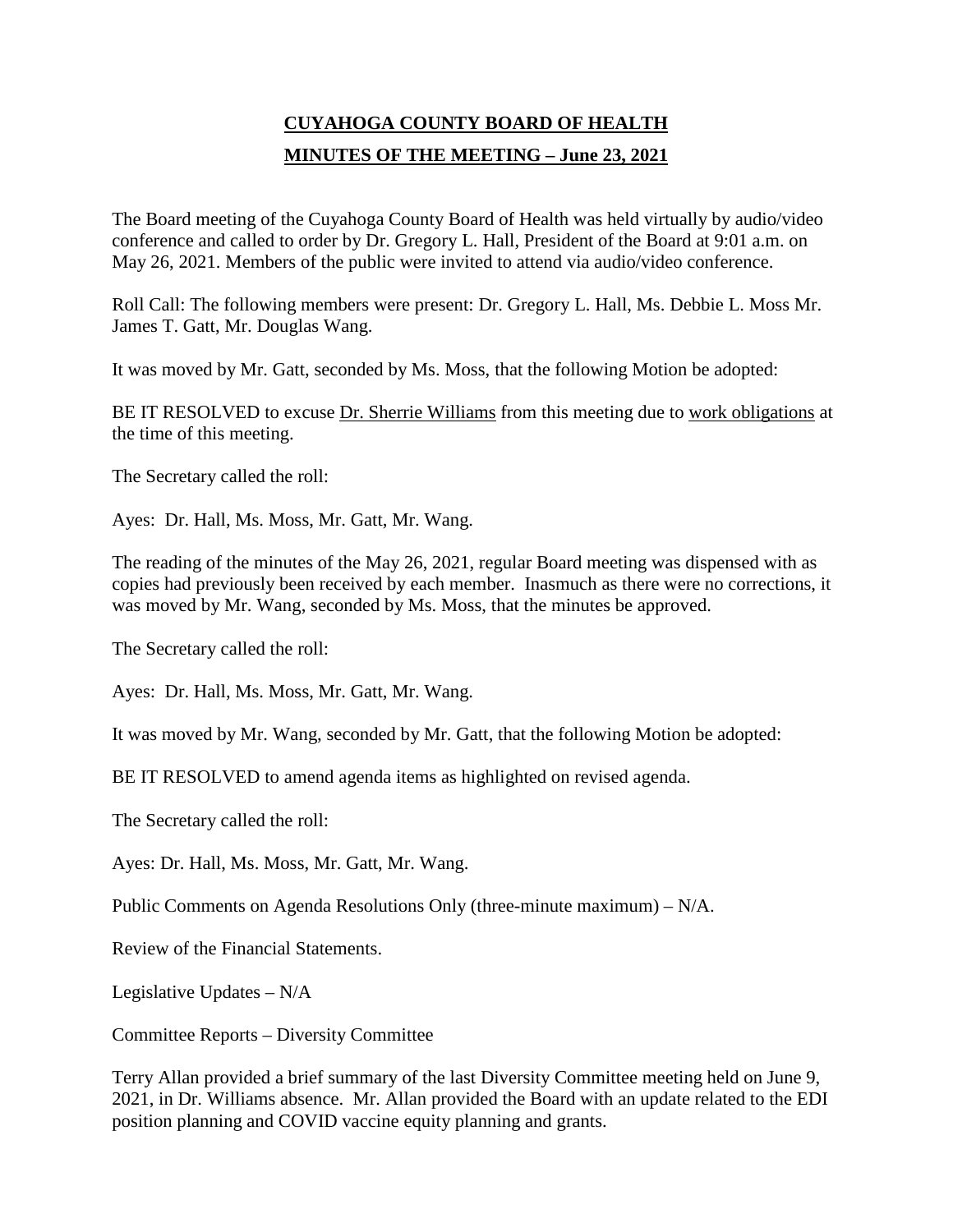# **CUYAHOGA COUNTY BOARD OF HEALTH MINUTES OF THE MEETING – June 23, 2021**

The Board meeting of the Cuyahoga County Board of Health was held virtually by audio/video conference and called to order by Dr. Gregory L. Hall, President of the Board at 9:01 a.m. on May 26, 2021. Members of the public were invited to attend via audio/video conference.

Roll Call: The following members were present: Dr. Gregory L. Hall, Ms. Debbie L. Moss Mr. James T. Gatt, Mr. Douglas Wang.

It was moved by Mr. Gatt, seconded by Ms. Moss, that the following Motion be adopted:

BE IT RESOLVED to excuse Dr. Sherrie Williams from this meeting due to work obligations at the time of this meeting.

The Secretary called the roll:

Ayes: Dr. Hall, Ms. Moss, Mr. Gatt, Mr. Wang.

The reading of the minutes of the May 26, 2021, regular Board meeting was dispensed with as copies had previously been received by each member. Inasmuch as there were no corrections, it was moved by Mr. Wang, seconded by Ms. Moss, that the minutes be approved.

The Secretary called the roll:

Ayes: Dr. Hall, Ms. Moss, Mr. Gatt, Mr. Wang.

It was moved by Mr. Wang, seconded by Mr. Gatt, that the following Motion be adopted:

BE IT RESOLVED to amend agenda items as highlighted on revised agenda.

The Secretary called the roll:

Ayes: Dr. Hall, Ms. Moss, Mr. Gatt, Mr. Wang.

Public Comments on Agenda Resolutions Only (three-minute maximum) – N/A.

Review of the Financial Statements.

Legislative Updates – N/A

Committee Reports – Diversity Committee

Terry Allan provided a brief summary of the last Diversity Committee meeting held on June 9, 2021, in Dr. Williams absence. Mr. Allan provided the Board with an update related to the EDI position planning and COVID vaccine equity planning and grants.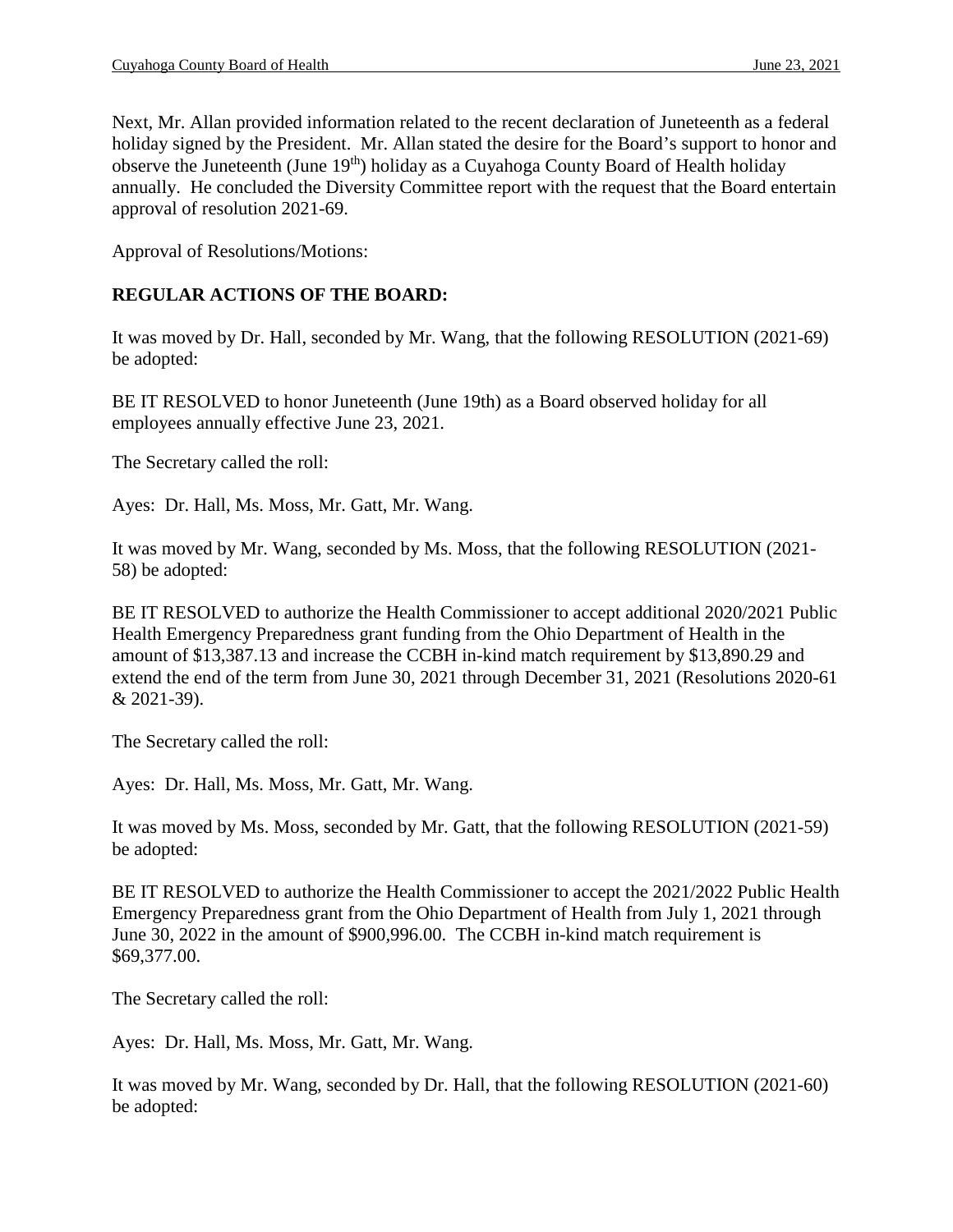Next, Mr. Allan provided information related to the recent declaration of Juneteenth as a federal holiday signed by the President. Mr. Allan stated the desire for the Board's support to honor and observe the Juneteenth (June 19th) holiday as a Cuyahoga County Board of Health holiday annually. He concluded the Diversity Committee report with the request that the Board entertain approval of resolution 2021-69.

Approval of Resolutions/Motions:

#### **REGULAR ACTIONS OF THE BOARD:**

It was moved by Dr. Hall, seconded by Mr. Wang, that the following RESOLUTION (2021-69) be adopted:

BE IT RESOLVED to honor Juneteenth (June 19th) as a Board observed holiday for all employees annually effective June 23, 2021.

The Secretary called the roll:

Ayes: Dr. Hall, Ms. Moss, Mr. Gatt, Mr. Wang.

It was moved by Mr. Wang, seconded by Ms. Moss, that the following RESOLUTION (2021- 58) be adopted:

BE IT RESOLVED to authorize the Health Commissioner to accept additional 2020/2021 Public Health Emergency Preparedness grant funding from the Ohio Department of Health in the amount of \$13,387.13 and increase the CCBH in-kind match requirement by \$13,890.29 and extend the end of the term from June 30, 2021 through December 31, 2021 (Resolutions 2020-61 & 2021-39).

The Secretary called the roll:

Ayes: Dr. Hall, Ms. Moss, Mr. Gatt, Mr. Wang.

It was moved by Ms. Moss, seconded by Mr. Gatt, that the following RESOLUTION (2021-59) be adopted:

BE IT RESOLVED to authorize the Health Commissioner to accept the 2021/2022 Public Health Emergency Preparedness grant from the Ohio Department of Health from July 1, 2021 through June 30, 2022 in the amount of \$900,996.00. The CCBH in-kind match requirement is \$69,377.00.

The Secretary called the roll:

Ayes: Dr. Hall, Ms. Moss, Mr. Gatt, Mr. Wang.

It was moved by Mr. Wang, seconded by Dr. Hall, that the following RESOLUTION (2021-60) be adopted: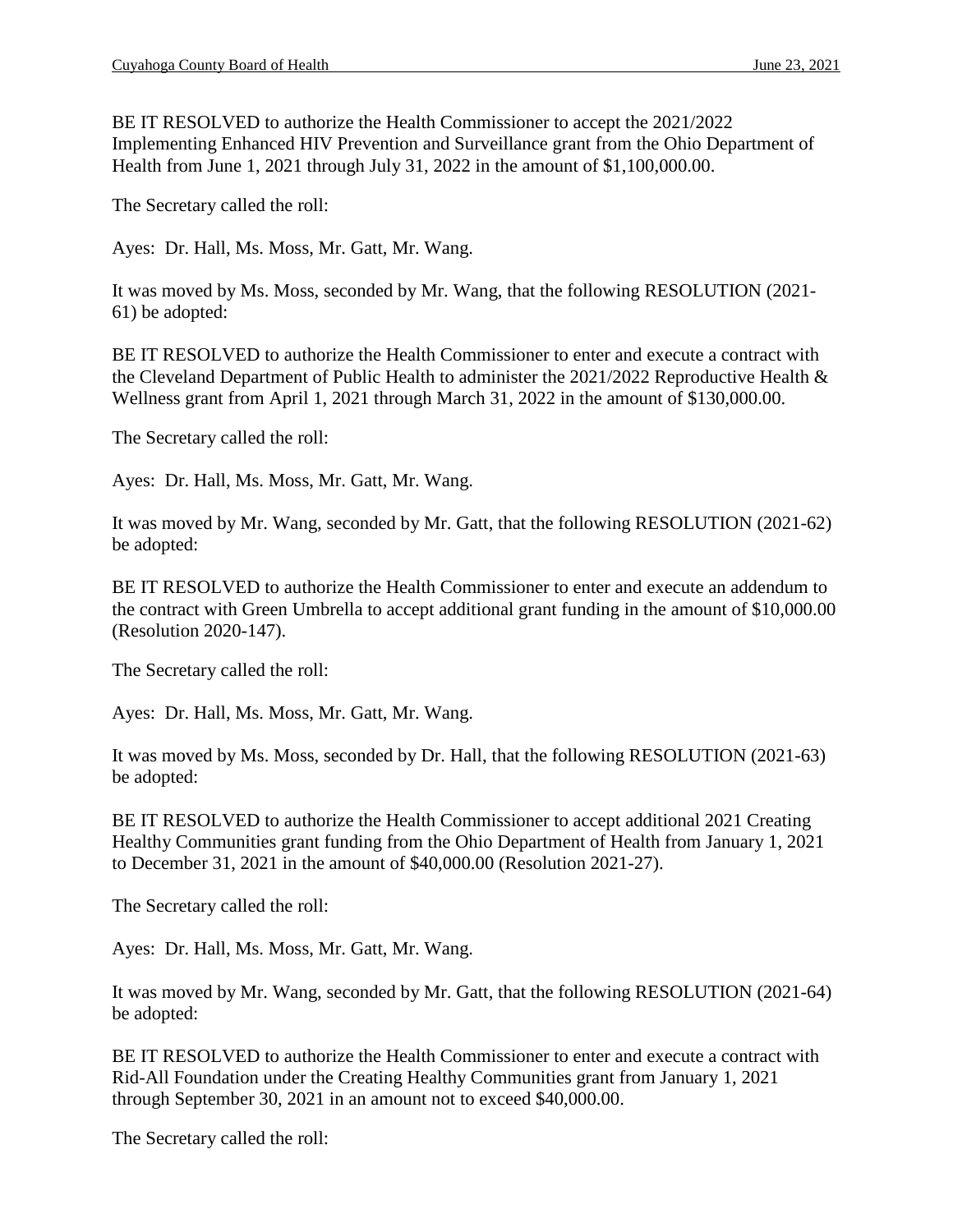BE IT RESOLVED to authorize the Health Commissioner to accept the 2021/2022 Implementing Enhanced HIV Prevention and Surveillance grant from the Ohio Department of Health from June 1, 2021 through July 31, 2022 in the amount of \$1,100,000.00.

The Secretary called the roll:

Ayes: Dr. Hall, Ms. Moss, Mr. Gatt, Mr. Wang.

It was moved by Ms. Moss, seconded by Mr. Wang, that the following RESOLUTION (2021- 61) be adopted:

BE IT RESOLVED to authorize the Health Commissioner to enter and execute a contract with the Cleveland Department of Public Health to administer the 2021/2022 Reproductive Health & Wellness grant from April 1, 2021 through March 31, 2022 in the amount of \$130,000.00.

The Secretary called the roll:

Ayes: Dr. Hall, Ms. Moss, Mr. Gatt, Mr. Wang.

It was moved by Mr. Wang, seconded by Mr. Gatt, that the following RESOLUTION (2021-62) be adopted:

BE IT RESOLVED to authorize the Health Commissioner to enter and execute an addendum to the contract with Green Umbrella to accept additional grant funding in the amount of \$10,000.00 (Resolution 2020-147).

The Secretary called the roll:

Ayes: Dr. Hall, Ms. Moss, Mr. Gatt, Mr. Wang.

It was moved by Ms. Moss, seconded by Dr. Hall, that the following RESOLUTION (2021-63) be adopted:

BE IT RESOLVED to authorize the Health Commissioner to accept additional 2021 Creating Healthy Communities grant funding from the Ohio Department of Health from January 1, 2021 to December 31, 2021 in the amount of \$40,000.00 (Resolution 2021-27).

The Secretary called the roll:

Ayes: Dr. Hall, Ms. Moss, Mr. Gatt, Mr. Wang.

It was moved by Mr. Wang, seconded by Mr. Gatt, that the following RESOLUTION (2021-64) be adopted:

BE IT RESOLVED to authorize the Health Commissioner to enter and execute a contract with Rid-All Foundation under the Creating Healthy Communities grant from January 1, 2021 through September 30, 2021 in an amount not to exceed \$40,000.00.

The Secretary called the roll: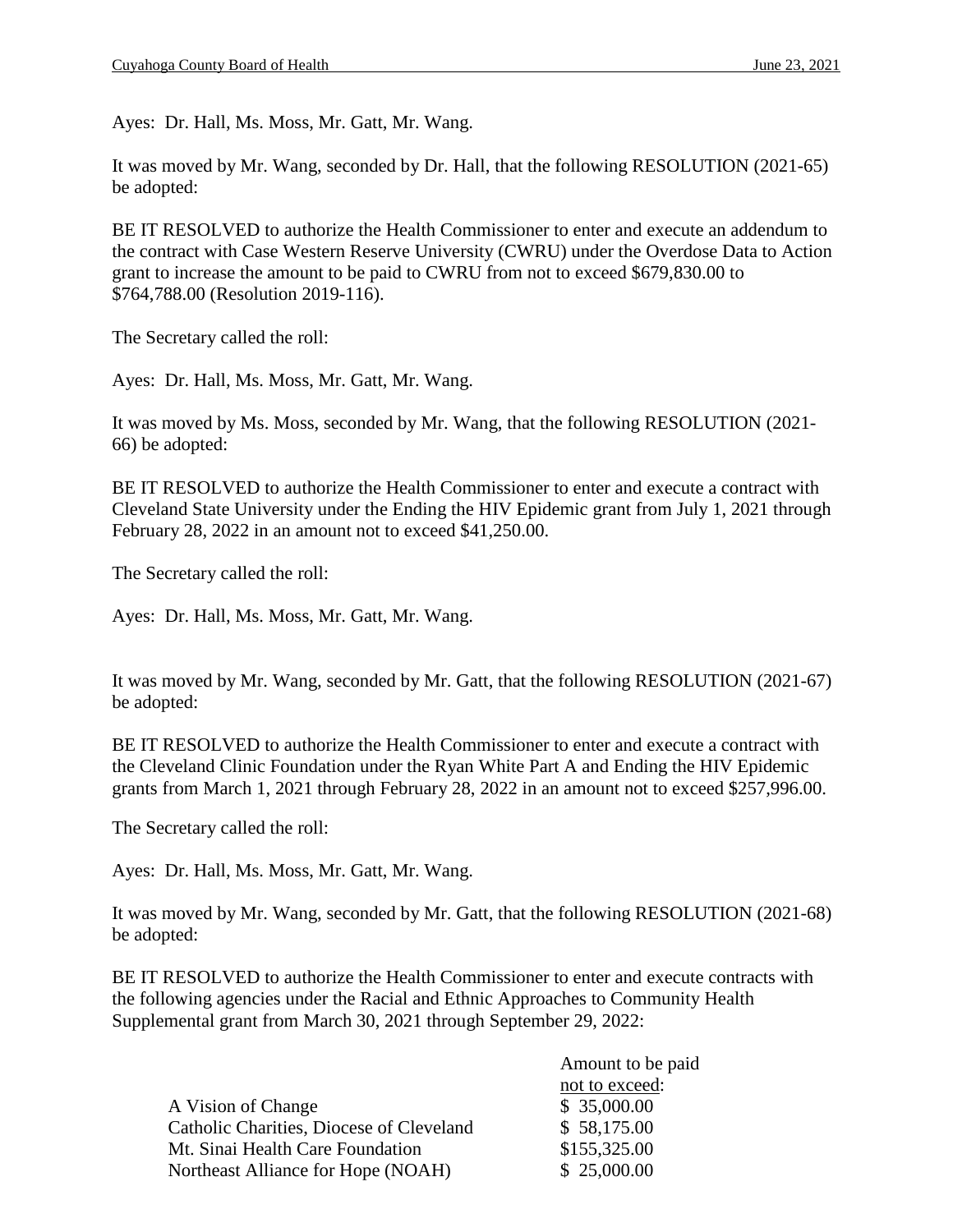Ayes: Dr. Hall, Ms. Moss, Mr. Gatt, Mr. Wang.

It was moved by Mr. Wang, seconded by Dr. Hall, that the following RESOLUTION (2021-65) be adopted:

BE IT RESOLVED to authorize the Health Commissioner to enter and execute an addendum to the contract with Case Western Reserve University (CWRU) under the Overdose Data to Action grant to increase the amount to be paid to CWRU from not to exceed \$679,830.00 to \$764,788.00 (Resolution 2019-116).

The Secretary called the roll:

Ayes: Dr. Hall, Ms. Moss, Mr. Gatt, Mr. Wang.

It was moved by Ms. Moss, seconded by Mr. Wang, that the following RESOLUTION (2021- 66) be adopted:

BE IT RESOLVED to authorize the Health Commissioner to enter and execute a contract with Cleveland State University under the Ending the HIV Epidemic grant from July 1, 2021 through February 28, 2022 in an amount not to exceed \$41,250.00.

The Secretary called the roll:

Ayes: Dr. Hall, Ms. Moss, Mr. Gatt, Mr. Wang.

It was moved by Mr. Wang, seconded by Mr. Gatt, that the following RESOLUTION (2021-67) be adopted:

BE IT RESOLVED to authorize the Health Commissioner to enter and execute a contract with the Cleveland Clinic Foundation under the Ryan White Part A and Ending the HIV Epidemic grants from March 1, 2021 through February 28, 2022 in an amount not to exceed \$257,996.00.

The Secretary called the roll:

Ayes: Dr. Hall, Ms. Moss, Mr. Gatt, Mr. Wang.

It was moved by Mr. Wang, seconded by Mr. Gatt, that the following RESOLUTION (2021-68) be adopted:

BE IT RESOLVED to authorize the Health Commissioner to enter and execute contracts with the following agencies under the Racial and Ethnic Approaches to Community Health Supplemental grant from March 30, 2021 through September 29, 2022:

|                                          | Amount to be paid |  |
|------------------------------------------|-------------------|--|
|                                          | not to exceed:    |  |
| A Vision of Change                       | \$35,000.00       |  |
| Catholic Charities, Diocese of Cleveland | \$58,175.00       |  |
| Mt. Sinai Health Care Foundation         | \$155,325.00      |  |
| Northeast Alliance for Hope (NOAH)       | \$25,000.00       |  |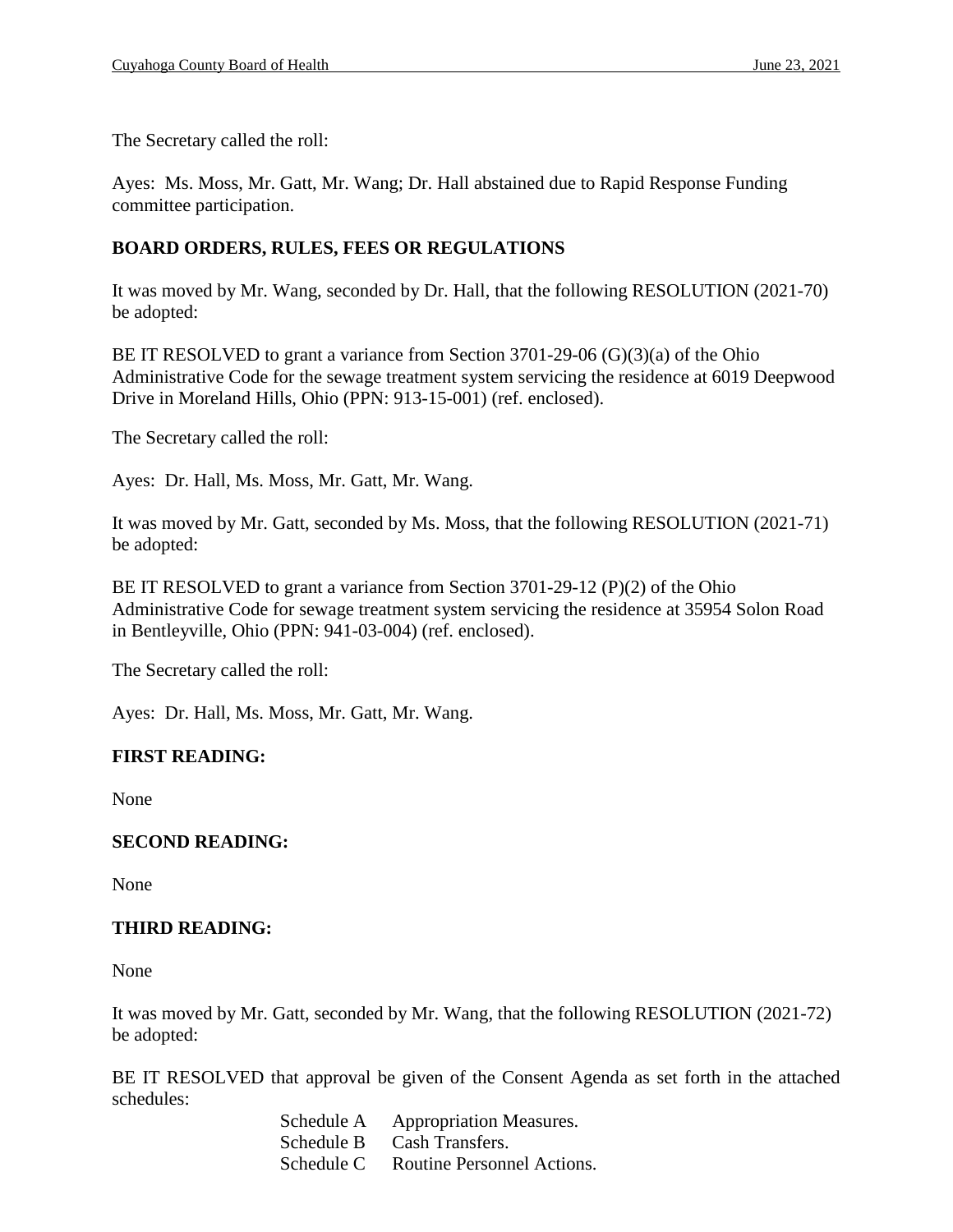The Secretary called the roll:

Ayes: Ms. Moss, Mr. Gatt, Mr. Wang; Dr. Hall abstained due to Rapid Response Funding committee participation.

# **BOARD ORDERS, RULES, FEES OR REGULATIONS**

It was moved by Mr. Wang, seconded by Dr. Hall, that the following RESOLUTION (2021-70) be adopted:

BE IT RESOLVED to grant a variance from Section 3701-29-06 (G)(3)(a) of the Ohio Administrative Code for the sewage treatment system servicing the residence at 6019 Deepwood Drive in Moreland Hills, Ohio (PPN: 913-15-001) (ref. enclosed).

The Secretary called the roll:

Ayes: Dr. Hall, Ms. Moss, Mr. Gatt, Mr. Wang.

It was moved by Mr. Gatt, seconded by Ms. Moss, that the following RESOLUTION (2021-71) be adopted:

BE IT RESOLVED to grant a variance from Section 3701-29-12 (P)(2) of the Ohio Administrative Code for sewage treatment system servicing the residence at 35954 Solon Road in Bentleyville, Ohio (PPN: 941-03-004) (ref. enclosed).

The Secretary called the roll:

Ayes: Dr. Hall, Ms. Moss, Mr. Gatt, Mr. Wang.

# **FIRST READING:**

None

#### **SECOND READING:**

None

# **THIRD READING:**

None

It was moved by Mr. Gatt, seconded by Mr. Wang, that the following RESOLUTION (2021-72) be adopted:

BE IT RESOLVED that approval be given of the Consent Agenda as set forth in the attached schedules:

> Schedule A Appropriation Measures. Schedule B Cash Transfers. Schedule C Routine Personnel Actions.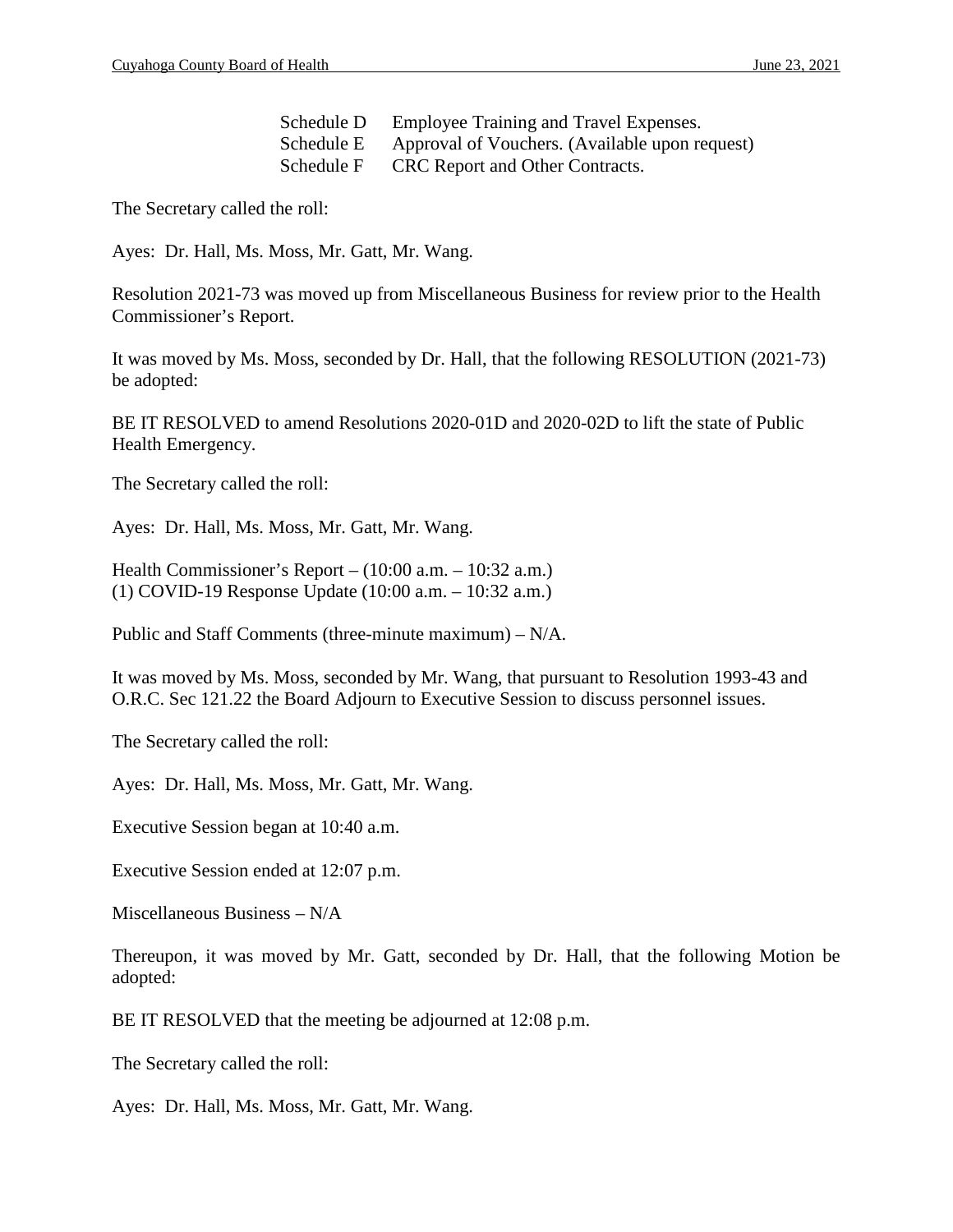| Schedule D | Employee Training and Travel Expenses.         |
|------------|------------------------------------------------|
| Schedule E | Approval of Vouchers. (Available upon request) |
| Schedule F | CRC Report and Other Contracts.                |

The Secretary called the roll:

Ayes: Dr. Hall, Ms. Moss, Mr. Gatt, Mr. Wang.

Resolution 2021-73 was moved up from Miscellaneous Business for review prior to the Health Commissioner's Report.

It was moved by Ms. Moss, seconded by Dr. Hall, that the following RESOLUTION (2021-73) be adopted:

BE IT RESOLVED to amend Resolutions 2020-01D and 2020-02D to lift the state of Public Health Emergency.

The Secretary called the roll:

Ayes: Dr. Hall, Ms. Moss, Mr. Gatt, Mr. Wang.

Health Commissioner's Report – (10:00 a.m. – 10:32 a.m.) (1) COVID-19 Response Update (10:00 a.m. – 10:32 a.m.)

Public and Staff Comments (three-minute maximum) – N/A.

It was moved by Ms. Moss, seconded by Mr. Wang, that pursuant to Resolution 1993-43 and O.R.C. Sec 121.22 the Board Adjourn to Executive Session to discuss personnel issues.

The Secretary called the roll:

Ayes: Dr. Hall, Ms. Moss, Mr. Gatt, Mr. Wang.

Executive Session began at 10:40 a.m.

Executive Session ended at 12:07 p.m.

Miscellaneous Business – N/A

Thereupon, it was moved by Mr. Gatt, seconded by Dr. Hall, that the following Motion be adopted:

BE IT RESOLVED that the meeting be adjourned at 12:08 p.m.

The Secretary called the roll:

Ayes: Dr. Hall, Ms. Moss, Mr. Gatt, Mr. Wang.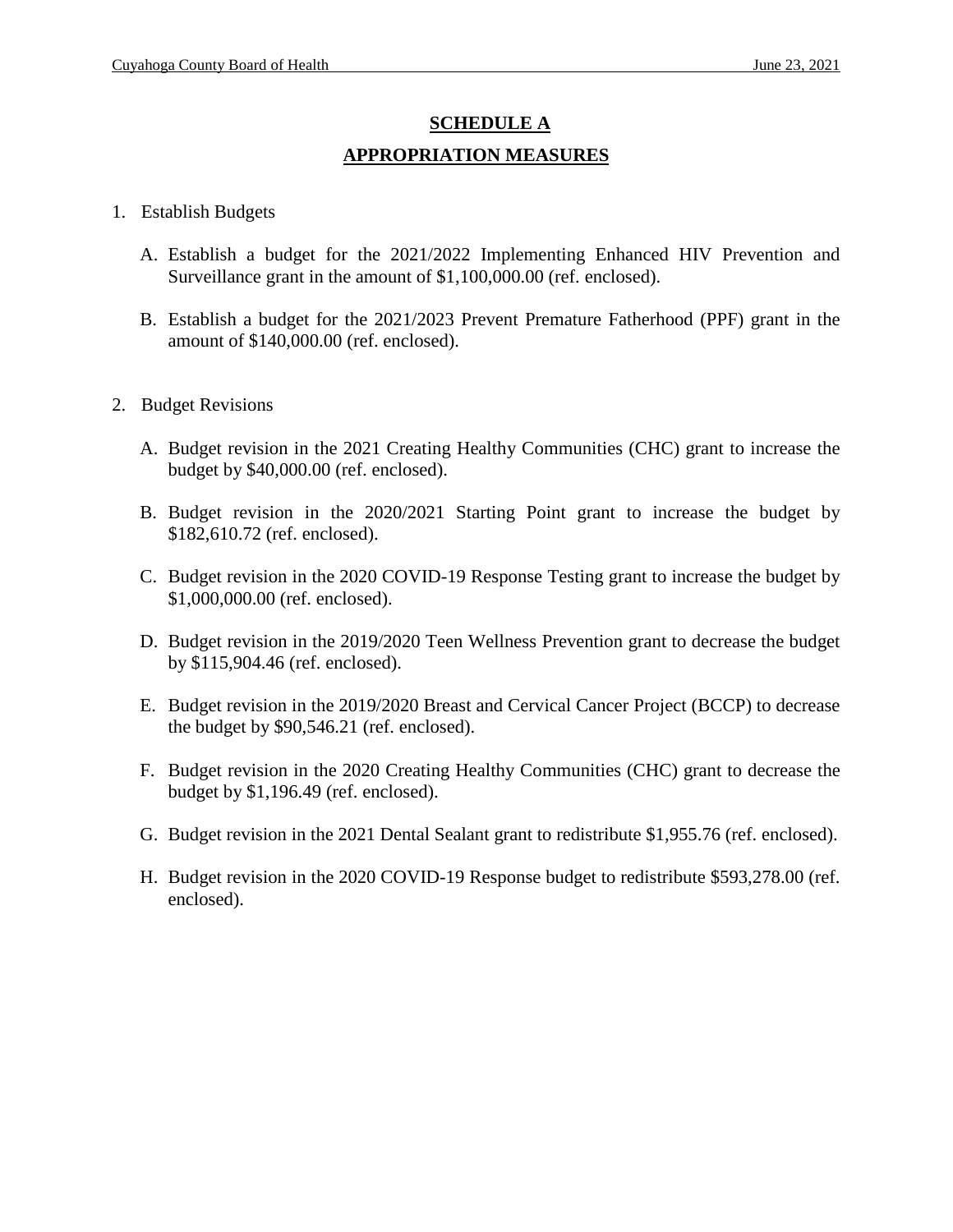# **SCHEDULE A APPROPRIATION MEASURES**

### 1. Establish Budgets

- A. Establish a budget for the 2021/2022 Implementing Enhanced HIV Prevention and Surveillance grant in the amount of \$1,100,000.00 (ref. enclosed).
- B. Establish a budget for the 2021/2023 Prevent Premature Fatherhood (PPF) grant in the amount of \$140,000.00 (ref. enclosed).
- 2. Budget Revisions
	- A. Budget revision in the 2021 Creating Healthy Communities (CHC) grant to increase the budget by \$40,000.00 (ref. enclosed).
	- B. Budget revision in the 2020/2021 Starting Point grant to increase the budget by \$182,610.72 (ref. enclosed).
	- C. Budget revision in the 2020 COVID-19 Response Testing grant to increase the budget by \$1,000,000.00 (ref. enclosed).
	- D. Budget revision in the 2019/2020 Teen Wellness Prevention grant to decrease the budget by \$115,904.46 (ref. enclosed).
	- E. Budget revision in the 2019/2020 Breast and Cervical Cancer Project (BCCP) to decrease the budget by \$90,546.21 (ref. enclosed).
	- F. Budget revision in the 2020 Creating Healthy Communities (CHC) grant to decrease the budget by \$1,196.49 (ref. enclosed).
	- G. Budget revision in the 2021 Dental Sealant grant to redistribute \$1,955.76 (ref. enclosed).
	- H. Budget revision in the 2020 COVID-19 Response budget to redistribute \$593,278.00 (ref. enclosed).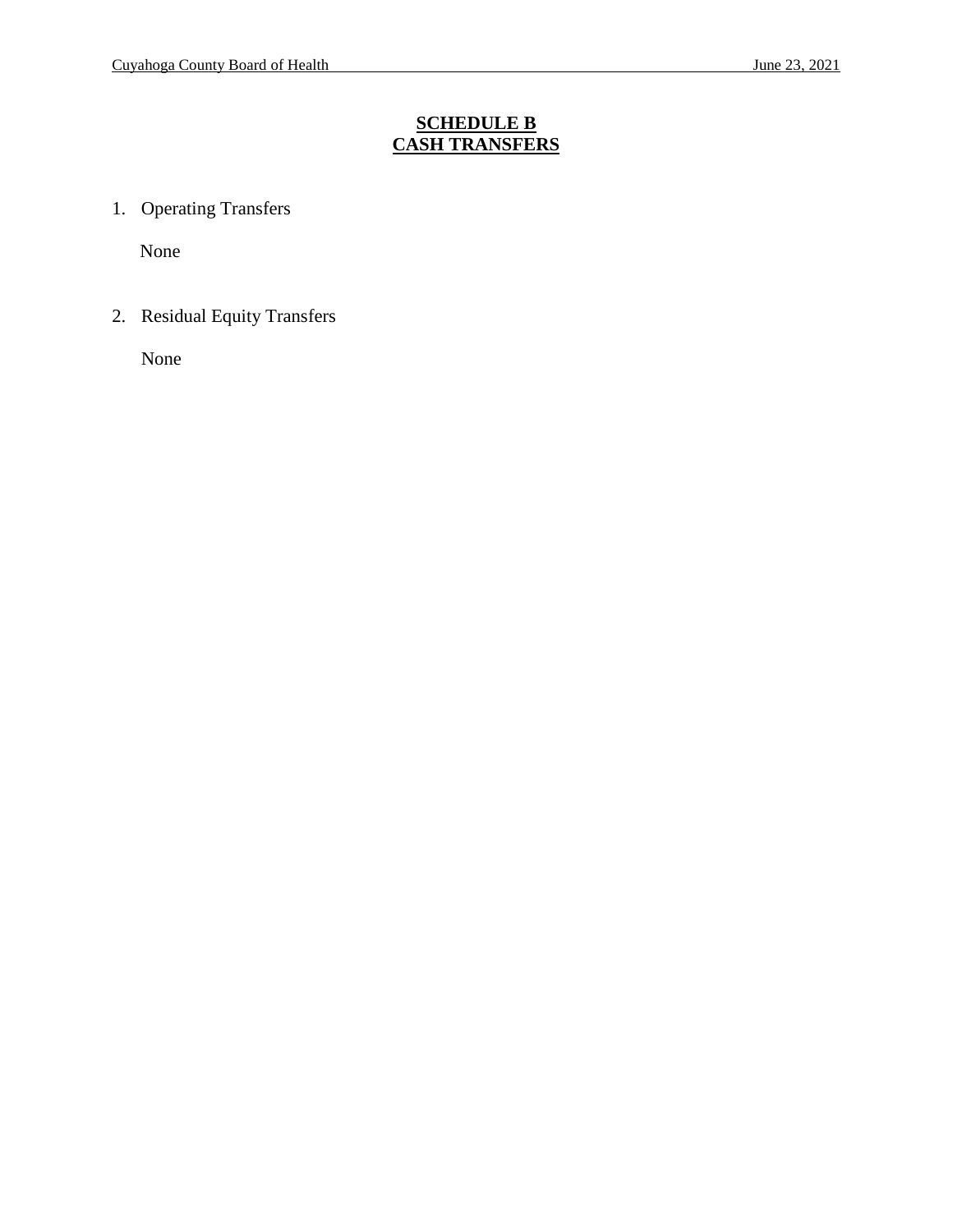# **SCHEDULE B CASH TRANSFERS**

1. Operating Transfers

None

2. Residual Equity Transfers

None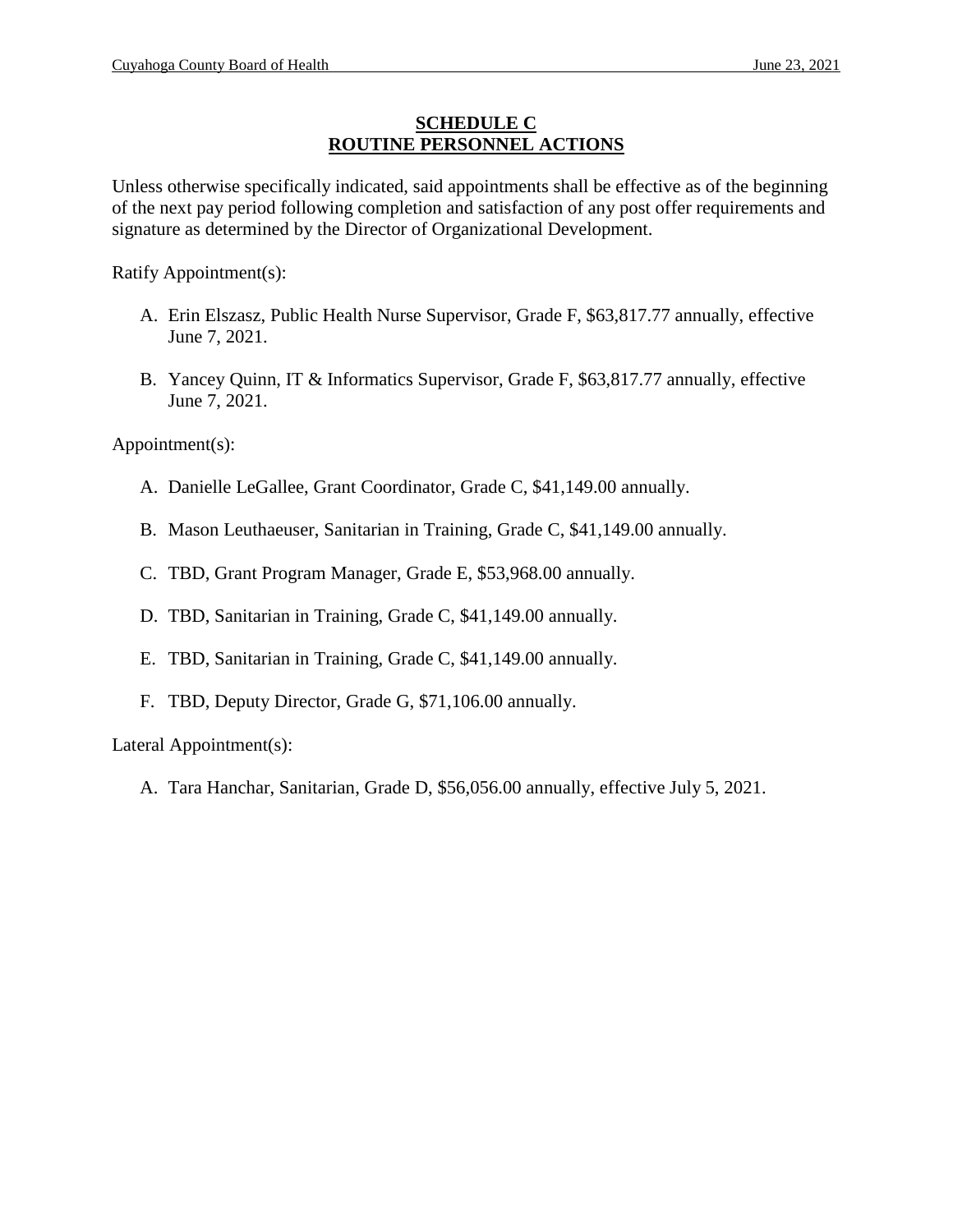#### **SCHEDULE C ROUTINE PERSONNEL ACTIONS**

Unless otherwise specifically indicated, said appointments shall be effective as of the beginning of the next pay period following completion and satisfaction of any post offer requirements and signature as determined by the Director of Organizational Development.

Ratify Appointment(s):

- A. Erin Elszasz, Public Health Nurse Supervisor, Grade F, \$63,817.77 annually, effective June 7, 2021.
- B. Yancey Quinn, IT & Informatics Supervisor, Grade F, \$63,817.77 annually, effective June 7, 2021.

Appointment(s):

- A. Danielle LeGallee, Grant Coordinator, Grade C, \$41,149.00 annually.
- B. Mason Leuthaeuser, Sanitarian in Training, Grade C, \$41,149.00 annually.
- C. TBD, Grant Program Manager, Grade E, \$53,968.00 annually.
- D. TBD, Sanitarian in Training, Grade C, \$41,149.00 annually.
- E. TBD, Sanitarian in Training, Grade C, \$41,149.00 annually.
- F. TBD, Deputy Director, Grade G, \$71,106.00 annually.

Lateral Appointment(s):

A. Tara Hanchar, Sanitarian, Grade D, \$56,056.00 annually, effective July 5, 2021.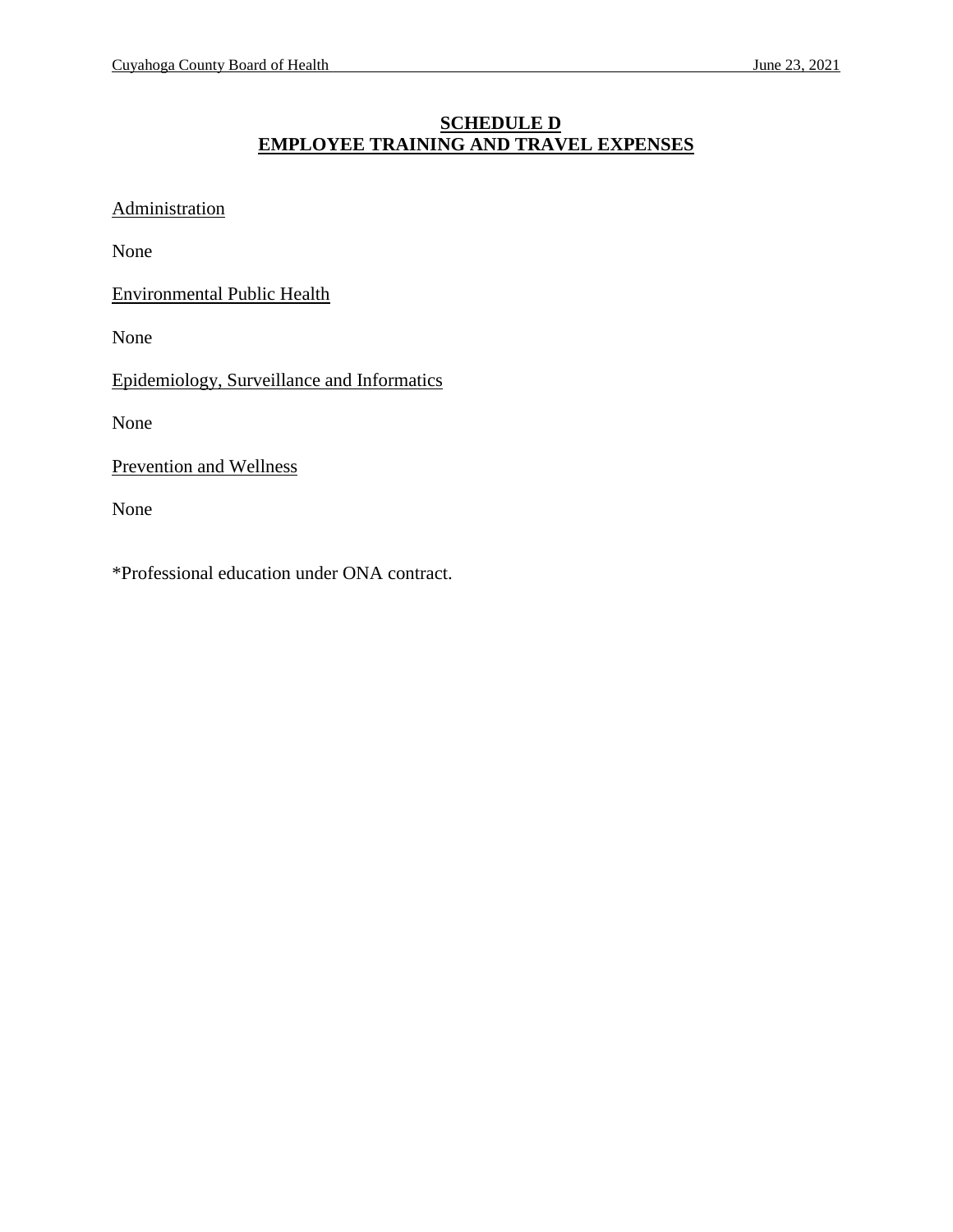# **SCHEDULE D EMPLOYEE TRAINING AND TRAVEL EXPENSES**

**Administration** 

None

Environmental Public Health

None

Epidemiology, Surveillance and Informatics

None

Prevention and Wellness

None

\*Professional education under ONA contract.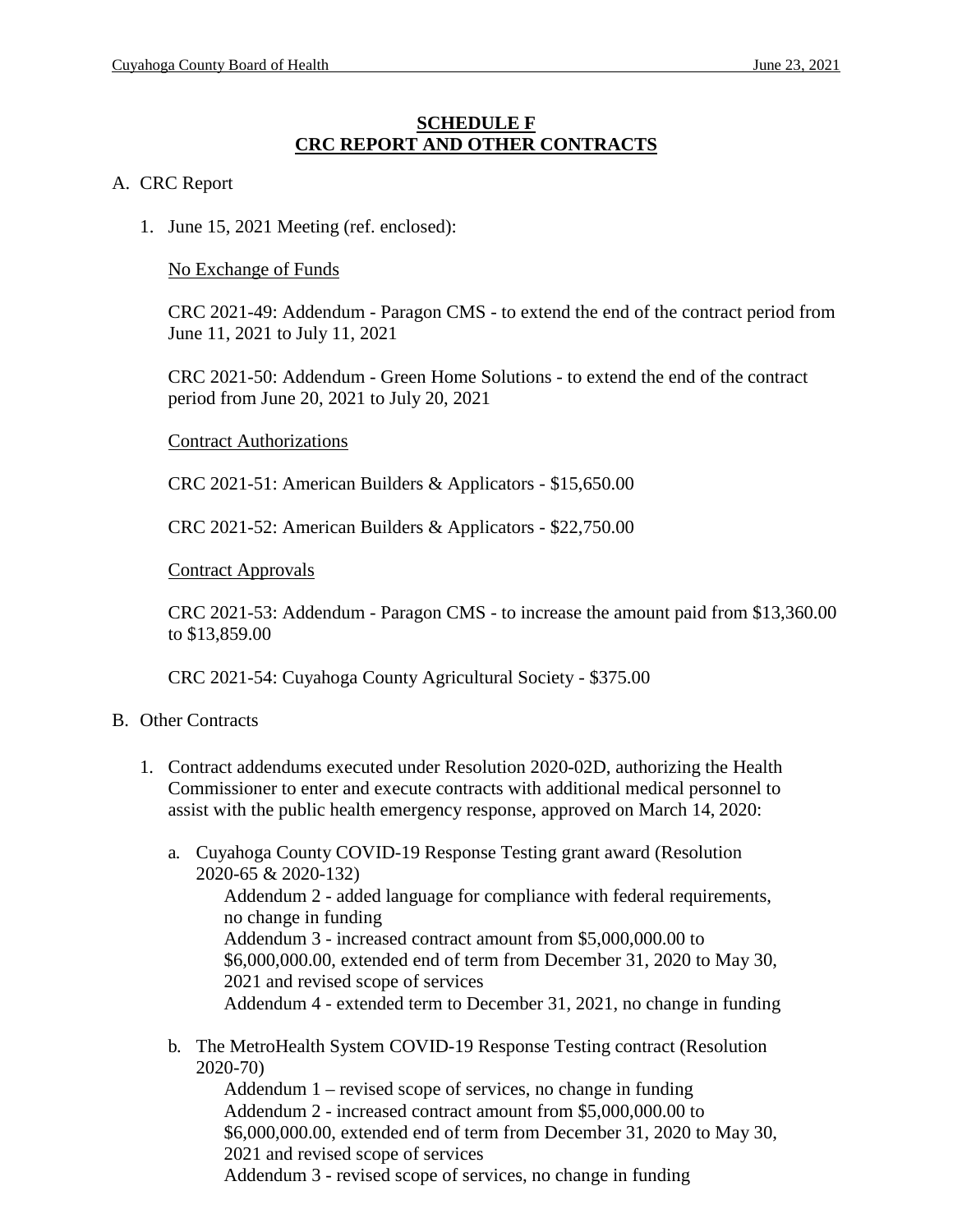#### **SCHEDULE F CRC REPORT AND OTHER CONTRACTS**

#### A. CRC Report

1. June 15, 2021 Meeting (ref. enclosed):

#### No Exchange of Funds

CRC 2021-49: Addendum - Paragon CMS - to extend the end of the contract period from June 11, 2021 to July 11, 2021

CRC 2021-50: Addendum - Green Home Solutions - to extend the end of the contract period from June 20, 2021 to July 20, 2021

#### Contract Authorizations

CRC 2021-51: American Builders & Applicators - \$15,650.00

CRC 2021-52: American Builders & Applicators - \$22,750.00

#### Contract Approvals

CRC 2021-53: Addendum - Paragon CMS - to increase the amount paid from \$13,360.00 to \$13,859.00

CRC 2021-54: Cuyahoga County Agricultural Society - \$375.00

#### B. Other Contracts

- 1. Contract addendums executed under Resolution 2020-02D, authorizing the Health Commissioner to enter and execute contracts with additional medical personnel to assist with the public health emergency response, approved on March 14, 2020:
	- a. Cuyahoga County COVID-19 Response Testing grant award (Resolution 2020-65 & 2020-132)

Addendum 2 - added language for compliance with federal requirements, no change in funding Addendum 3 - increased contract amount from \$5,000,000.00 to \$6,000,000.00, extended end of term from December 31, 2020 to May 30,

2021 and revised scope of services

Addendum 4 - extended term to December 31, 2021, no change in funding

b. The MetroHealth System COVID-19 Response Testing contract (Resolution 2020-70)

Addendum 1 – revised scope of services, no change in funding Addendum 2 - increased contract amount from \$5,000,000.00 to \$6,000,000.00, extended end of term from December 31, 2020 to May 30, 2021 and revised scope of services Addendum 3 - revised scope of services, no change in funding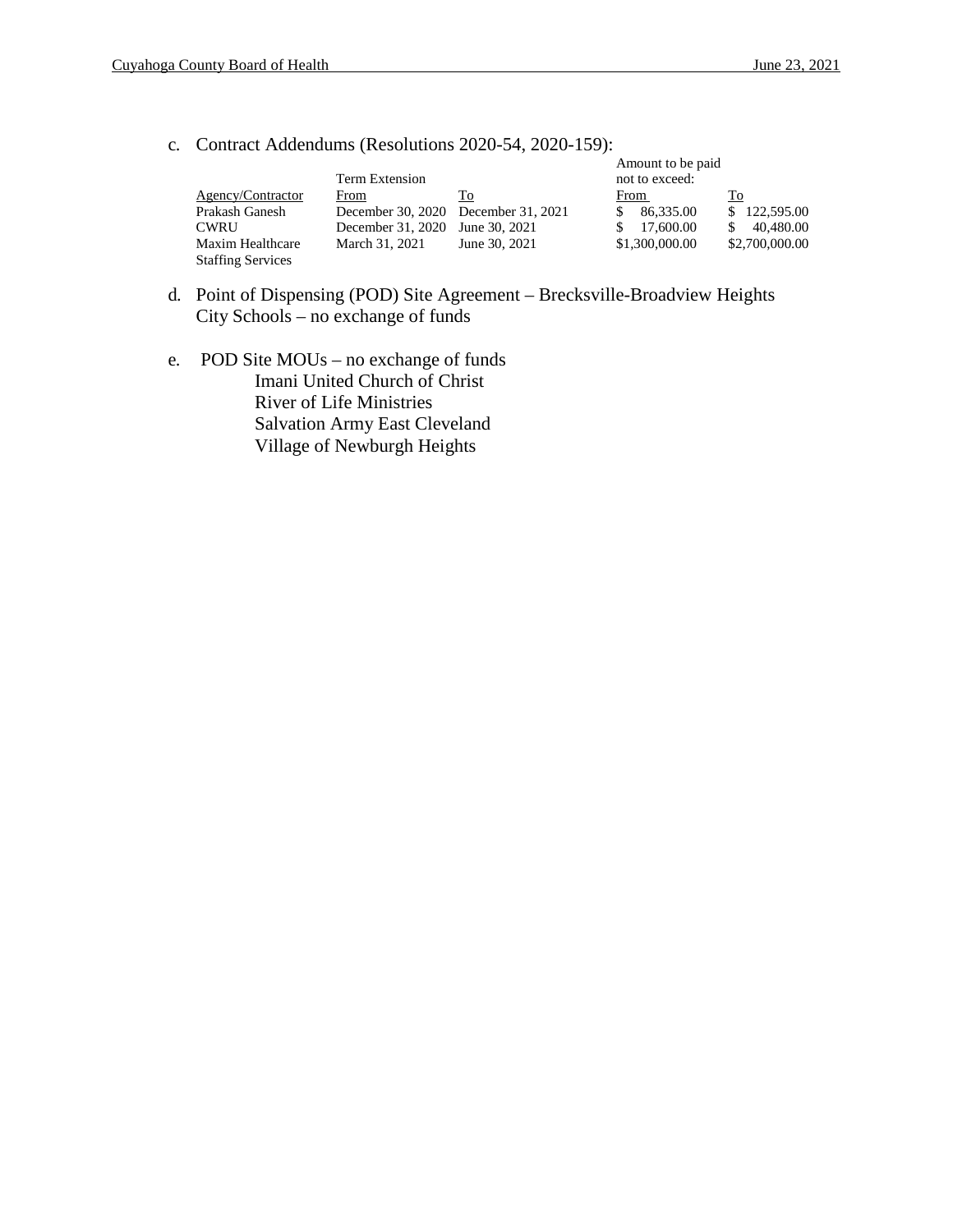c. Contract Addendums (Resolutions 2020-54, 2020-159):

|                          |                                     |               | Amount to be paid |                |
|--------------------------|-------------------------------------|---------------|-------------------|----------------|
|                          | Term Extension                      |               | not to exceed:    |                |
| Agency/Contractor        | From                                | To            | From              | Тo             |
| Prakash Ganesh           | December 30, 2020 December 31, 2021 |               | 86.335.00         | \$122,595.00   |
| <b>CWRU</b>              | December 31, 2020                   | June 30, 2021 | 17,600.00         | 40.480.00      |
| Maxim Healthcare         | March 31, 2021                      | June 30, 2021 | \$1,300,000.00    | \$2,700,000.00 |
| <b>Staffing Services</b> |                                     |               |                   |                |

- d. Point of Dispensing (POD) Site Agreement Brecksville-Broadview Heights City Schools – no exchange of funds
- e. POD Site MOUs no exchange of funds Imani United Church of Christ River of Life Ministries Salvation Army East Cleveland Village of Newburgh Heights